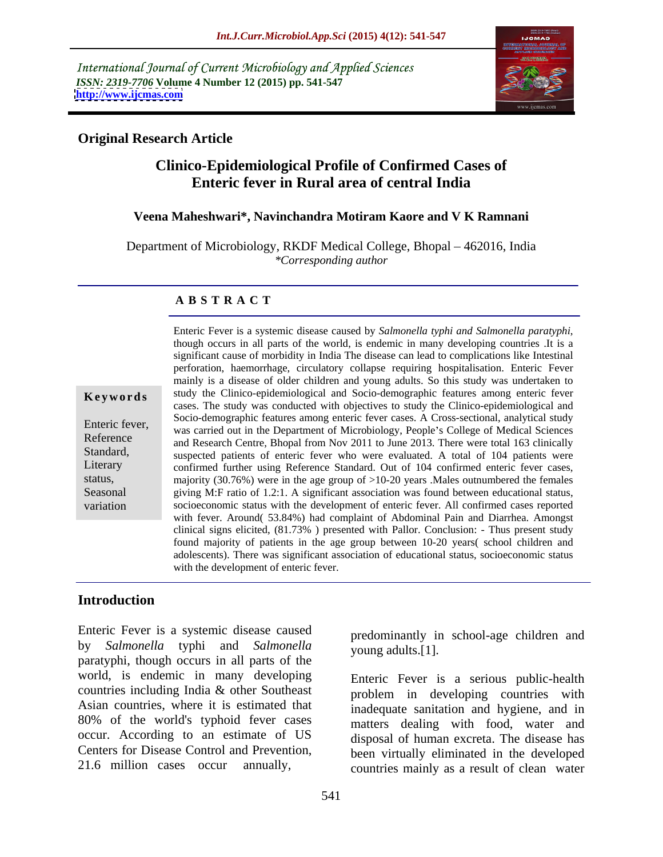International Journal of Current Microbiology and Applied Sciences *ISSN: 2319-7706* **Volume 4 Number 12 (2015) pp. 541-547 <http://www.ijcmas.com>**



## **Original Research Article**

# **Clinico-Epidemiological Profile of Confirmed Cases of Enteric fever in Rural area of central India**

## **Veena Maheshwari\*, Navinchandra Motiram Kaore and V K Ramnani**

Department of Microbiology, RKDF Medical College, Bhopal – 462016, India *\*Corresponding author*

### **A B S T R A C T**

|  |  |  | Keywords |  |  |  |  |
|--|--|--|----------|--|--|--|--|
|--|--|--|----------|--|--|--|--|

variation

Enteric Fever is <sup>a</sup> systemic disease caused by *Salmonella typhi and Salmonella paratyphi*, though occurs in all parts of the world, is endemic in many developing countries .It is <sup>a</sup> significant cause of morbidity in India The disease can lead to complications like Intestinal perforation, haemorrhage, circulatory collapse requiring hospitalisation. Enteric Fever mainly is a disease of older children and young adults. So this study was undertaken to **Keywords** study the Clinico-epidemiological and Socio-demographic features among enteric fever cases. The study was conducted with objectives to study the Clinico-epidemiological and Socio-demographic features among enteric fever cases. A Cross-sectional, analytical study Enteric fever,<br>was carried out in the Department of Microbiology, People's College of Medical Sciences Reference<br>and Research Centre, Bhopal from Nov 2011 to June 2013. There were total 163 clinically Standard, suspected patients of enteric fever who were evaluated. A total of 104 patients were Literary confirmed further using Reference Standard. Out of 104 confirmed enteric fever cases, status, majority (30.76%) were in the age group of >10-20 years .Males outnumbered the females Seasonal giving M:F ratio of 1.2:1. A significant association was found between educational status, socioeconomic status with the development of enteric fever. All confirmed cases reported with fever. Around( 53.84%) had complaint of Abdominal Pain and Diarrhea. Amongst clinical signs elicited, (81.73% ) presented with Pallor. Conclusion:- Thus present study found majority of patients in the age group between 10-20 years( school children and adolescents). There was significant association of educational status, socioeconomic status with the development of enteric fever.

## **Introduction**

Enteric Fever is a systemic disease caused by *Salmonella* typhi and *Salmonella* paratyphi, though occurs in all parts of the world, is endemic in many developing countries including India & other Southeast Asian countries, where it is estimated that 80% of the world's typhoid fever cases occur. According to an estimate of US Centers for Disease Control and Prevention,

predominantly in school-age children and young adults.[1].

21.6 million cases occur annually, countries mainly as a result of clean water Enteric Fever is a serious public-health problem in developing countries with inadequate sanitation and hygiene, and in matters dealing with food, water and disposal of human excreta. The disease has been virtually eliminated in the developed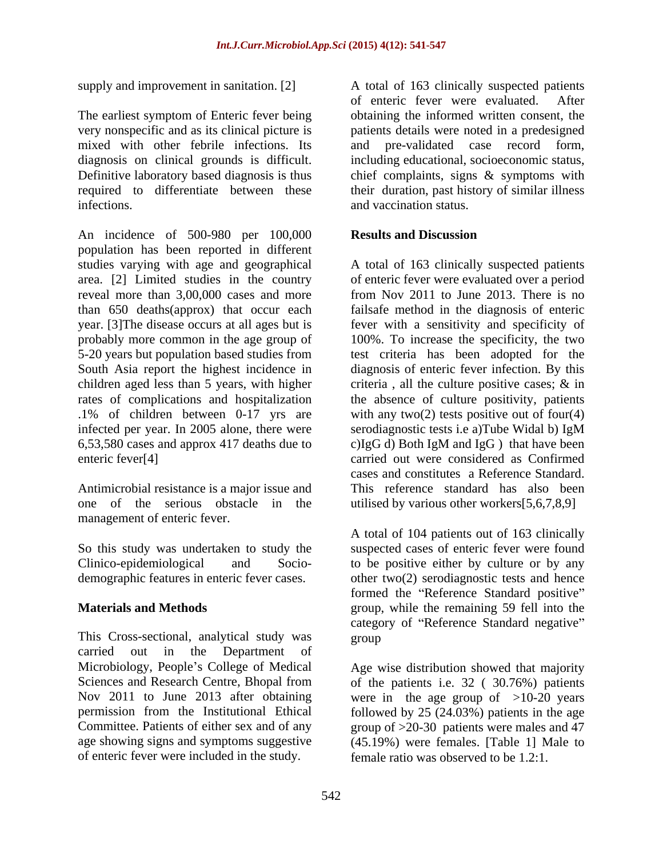The earliest symptom of Enteric fever being mixed with other febrile infections. Its diagnosis on clinical grounds is difficult. infections. and vaccination status.

An incidence of 500-980 per 100,000 **Results and Discussion** population has been reported in different reveal more than 3,00,000 cases and more from Nov 2011 to June 2013. There is no infected per year. In 2005 alone, there were serodiagnostic tests i.e a)Tube Widal b) IgM 6,53,580 cases and approx 417 deaths due to

Antimicrobial resistance is a major issue and management of enteric fever.

This Cross-sectional, analytical study was carried out in the Department of Microbiology, People's College of Medical of enteric fever were included in the study.

supply and improvement in sanitation. [2] A total of 163 clinically suspected patients very nonspecific and as its clinical picture is patients details were noted in a predesigned Definitive laboratory based diagnosis is thus chief complaints, signs & symptoms with required to differentiate between these their duration, past history of similar illness of enteric fever were evaluated. After obtaining the informed written consent, the pre-validated case record form, including educational, socioeconomic status,

## **Results and Discussion**

studies varying with age and geographical A total of 163 clinically suspected patients area. [2] Limited studies in the country of enteric fever were evaluated over a period than 650 deaths(approx) that occur each failsafe method in the diagnosis of enteric year. [3]The disease occurs at all ages but is fever with a sensitivity and specificity of probably more common in the age group of 100%. To increase the specificity, the two 5-20 years but population based studies from test criteria has been adopted for the South Asia report the highest incidence in diagnosis of enteric fever infection. By this children aged less than 5 years, with higher criteria, all the culture positive cases; & in rates of complications and hospitalization the absence of culture positivity, patients .1% of children between 0-17 yrs are with any two(2) tests positive out of four(4) enteric fever[4] carried out were considered as Confirmed one of the serious obstacle in the utilised by various other workers[5,6,7,8,9] from Nov 2011 to June 2013. There is no serodiagnostic tests i.e a)Tube Widal b) IgM c)IgG d) Both IgM and IgG ) that have been cases and constitutes a Reference Standard. This reference standard has also been

So this study was undertaken to study the suspected cases of enteric fever were found Clinico-epidemiological and Socio- to be positive either by culture or by any demographic features in enteric fever cases. other two(2) serodiagnostic tests and hence **Materials and Methods** extending the remaining 59 fell into the remaining 59 fell into the A total of 104 patients out of 163 clinically formed the "Reference Standard positive" category of "Reference Standard negative" group and the state of the state of the state of the state of the state of the state of the state of the state of the state of the state of the state of the state of the state of the state of the state of the state of the

Sciences and Research Centre, Bhopal from of the patients i.e. 32 ( 30.76%) patients Nov 2011 to June 2013 after obtaining were in the age group of >10-20 years permission from the Institutional Ethical followed by 25 (24.03%) patients in the age Committee. Patients of either sex and of any group of >20-30 patients were males and 47 age showing signs and symptoms suggestive (45.19%) were females. [Table 1] Male to Age wise distribution showed that majority female ratio was observed to be 1.2:1.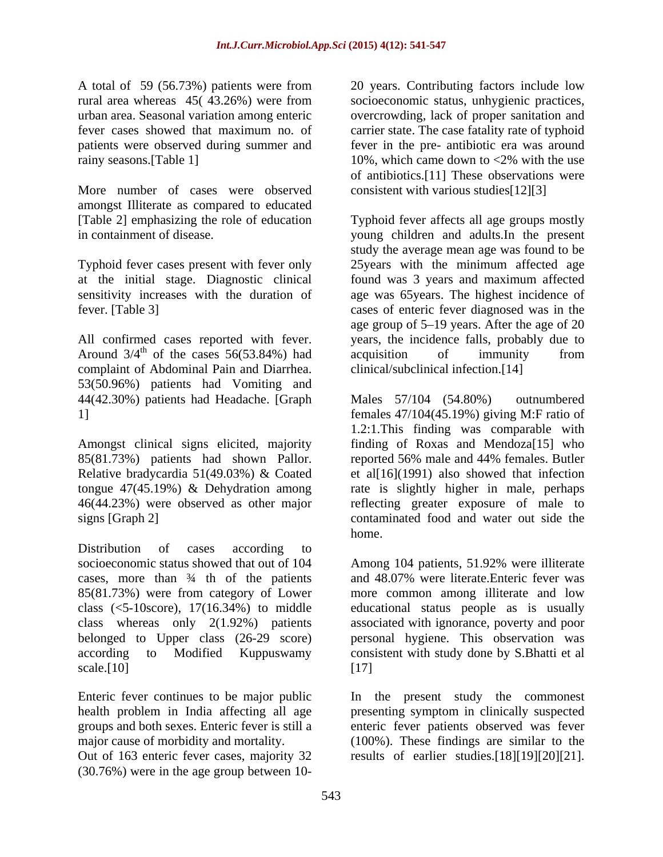A total of 59 (56.73%) patients were from

More number of cases were observed amongst Illiterate as compared to educated

Typhoid fever cases present with fever only

complaint of Abdominal Pain and Diarrhea. 53(50.96%) patients had Vomiting and 44(42.30%) patients had Headache. [Graph

Amongst clinical signs elicited, majority

Distribution of cases according to cases, more than  $\frac{3}{4}$  th of the patients and 48.07% were literate. Enteric fever was

Enteric fever continues to be major public In the present study the commonest health problem in India affecting all age presenting symptom in clinically suspected groups and both sexes. Enteric fever is still a enteric fever patients observed was fever major cause of morbidity and mortality. (100%). These findings are similar to the

(30.76%) were in the age group between 10-

rural area whereas 45( 43.26%) were from socioeconomic status, unhygienic practices, urban area. Seasonal variation among enteric overcrowding, lack of proper sanitation and fever cases showed that maximum no. of carrier state. The case fatality rate of typhoid patients were observed during summer and fever in the pre- antibiotic era was around rainy seasons.[Table 1] 10%, which came down to <2% with the use 20 years. Contributing factors include low of antibiotics.[11] These observations were consistent with various studies[12][3]

[Table 2] emphasizing the role of education Typhoid fever affects all age groups mostly in containment of disease. young children and adults.In the present at the initial stage. Diagnostic clinical found was 3 years and maximum affected sensitivity increases with the duration of age was 65years. The highest incidence of fever. [Table 3] cases of enteric fever diagnosed was in the All confirmed cases reported with fever. years, the incidence falls, probably due to Around  $3/4^{\text{th}}$  of the cases 56(53.84%) had acquisition of immunity from study the average mean age was found to be 25years with the minimum affected age age group of 5–19 years. After the age of 20 acquisition of immunity from clinical/subclinical infection.[14]

1] females 47/104(45.19%) giving M:F ratio of 85(81.73%) patients had shown Pallor. reported 56% male and 44% females. Butler Relative bradycardia 51(49.03%) & Coated et al[16](1991) also showed that infection tongue 47(45.19%) & Dehydration among rate is slightly higher in male, perhaps 46(44.23%) were observed as other major reflecting greater exposure of male to signs [Graph 2] contaminated food and water out side the Males 57/104 (54.80%) outnumbered 1.2:1.This finding was comparable with finding of Roxas and Mendoza[15] who home.

socioeconomic status showed that out of 104 Among 104 patients, 51.92% were illiterate 85(81.73%) were from category of Lower morecommon among illiterate and low class (<5-10score), 17(16.34%) to middle educational status people as is usually class whereas only 2(1.92%) patients associated with ignorance, poverty and poor belonged to Upper class (26-29 score) personal hygiene. This observation was according to Modified Kuppuswamy consistent with study done by S.Bhatti et al  $scale.[10]$  [17] and 48.07% were literate.Enteric fever was [17]

Out of 163 enteric fever cases, majority 32 results of earlier studies.[18][19][20][21].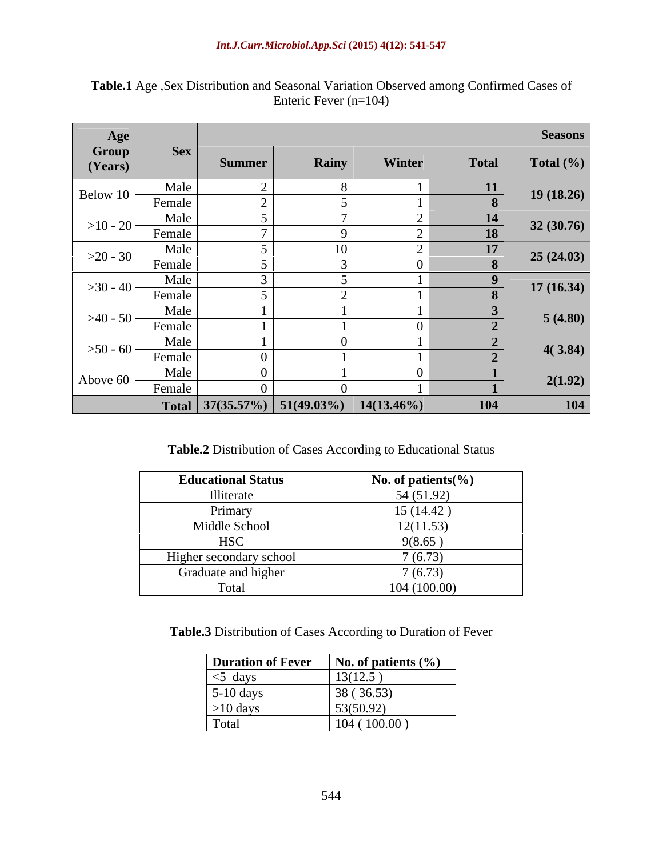| Age              |                               |                                              |       |        |                | <b>Seasons</b> |
|------------------|-------------------------------|----------------------------------------------|-------|--------|----------------|----------------|
| Group<br>(Years) | $\left  \right $ Sex $\left $ | <b>Summer</b>                                | Rainy | Winter | <b>Total</b>   | Total $(\% )$  |
| Below 10 $\vert$ | Male<br>Female                |                                              |       |        | 11<br>$\Omega$ | 19(18.26)      |
| $>10-20$         | Male<br>Female                |                                              |       |        | 14<br>18       | 32(30.76)      |
| $>20 - 30$       | Male<br>Female                |                                              | 10    |        | 17             | 25(24.03)      |
| $>30 - 40$       | Male<br>Female                |                                              |       |        |                | 17(16.34)      |
| $>40-50$         | Male<br>Female                |                                              |       |        |                | 5(4.80)        |
| $>50 - 60$       | Male<br>Female                |                                              |       |        |                | 4(3.84)        |
| Above 60 $\vert$ | Male<br>Female                |                                              |       |        |                | 2(1.92)        |
|                  |                               | Total $37(35.57%)$ $51(49.03%)$ $14(13.46%)$ |       |        | 104            | 104            |

**Table.1** Age ,Sex Distribution and Seasonal Variation Observed among Confirmed Cases of Enteric Fever (n=104)

**Table.2** Distribution of Cases According to Educational Status

| <b>Educational Status</b> | No. of patients $\%$ |
|---------------------------|----------------------|
| Illiterate                | 54 (51.92)           |
| Primary                   | 15(14.42)            |
| Middle School             | 12(11.53)            |
| <b>HSC</b>                | 9(8.65)              |
| Higher secondary school   | 7(6.73)              |
| Graduate and higher       | 7(6.73)              |
| Гоtal                     | 104(100.00)          |

**Table.3** Distribution of Cases According to Duration of Fever

| <b>Duration of Fever</b> | $\mathbf{N}$ No. of patients $(\% )$ |
|--------------------------|--------------------------------------|
| $\vert$ <5 days          | 13(12.5)                             |
| $5-10$ days              | 38 (36.53)                           |
| $>10$ days               | 53(50.92)                            |
| Total                    | (100.00)<br>104(                     |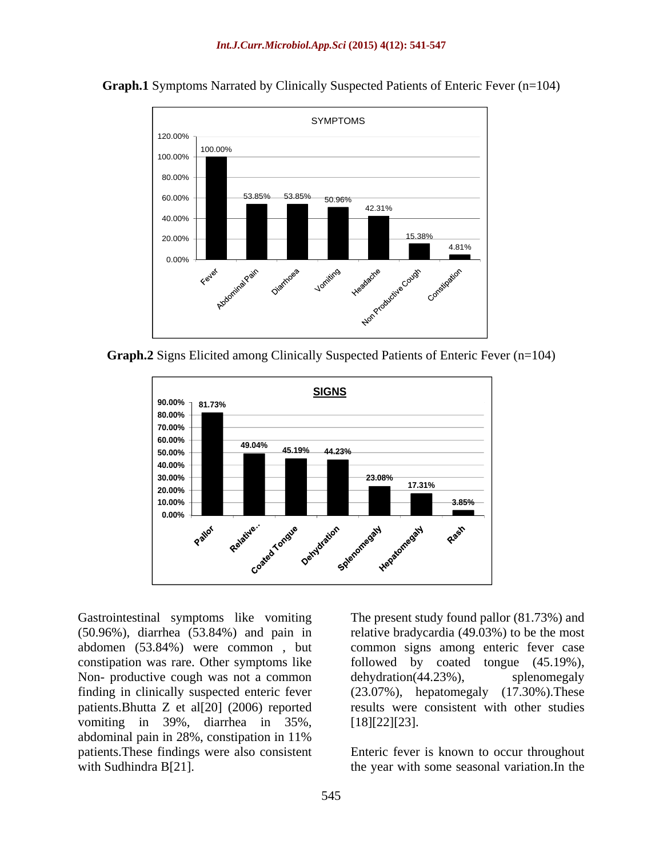

**Graph.1** Symptoms Narrated by Clinically Suspected Patients of Enteric Fever (n=104)

**Graph.2** Signs Elicited among Clinically Suspected Patients of Enteric Fever (n=104)



Gastrointestinal symptoms like vomiting The present study found pallor (81.73%) and (50.96%), diarrhea (53.84%) and pain in relative bradycardia (49.03%) to be the most abdomen (53.84%) were common , but common signs among enteric fevercase constipation was rare. Other symptoms like followed by coated tongue (45.19%), Non- productive cough was not a common dehydration (44.23%), splenomegaly finding in clinically suspected enteric fever (23.07%), hepatomegaly (17.30%).These patients.Bhutta Z et al[20] (2006) reported vomiting in 39%, diarrhea in 35%, [18][22][23]. abdominal pain in 28%, constipation in 11% patients.These findings were also consistent Enteric fever is known to occur throughout Gastrointestinal symptoms like vomiting The present study found pallor (81.73%) and<br>
(50.96%), diarrhea (53.84%) and pain in relative bradycardia (49.03%) to be the most<br>
abdomen (53.84%) were common , but common signs am

dehydration(44.23%), splenomegaly results were consistent with other studies [18][22][23].

the year with some seasonal variation.In the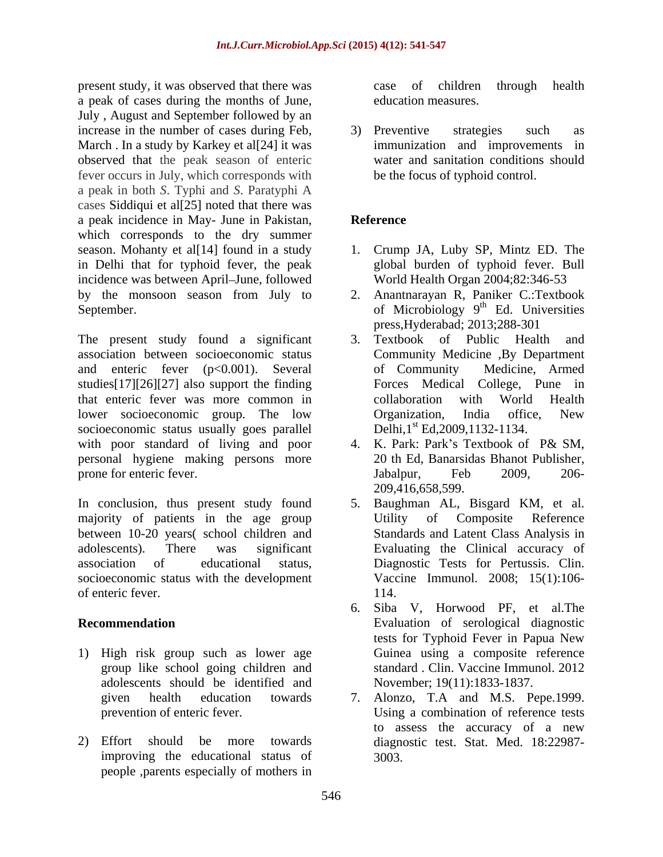present study, it was observed that there was a peak of cases during the months of June, education measures.<br>July , August and September followed by an increase in the number of cases during Feb,  $\qquad$  3) Preventive strategies such as March . In a study by Karkey et al<sup>[24]</sup> it was observed that the peak season of enteric fever occurs in July, which corresponds with a peak in both *S*. Typhi and *S*. Paratyphi A cases Siddiqui et al[25] noted that there was a peak incidence in May- June in Pakistan, which corresponds to the dry summer season. Mohanty et al[14] found in a study 1. Crump JA, Luby SP, Mintz ED. The in Delhi that for typhoid fever, the peak incidence was between April–June, followed by the monsoon season from July to 2. Anantnarayan R, Paniker C.:Textbook September. **Example 2** of Microbiology 9<sup>th</sup> Ed. Universities

The present study found a significant 3. Textbook of Public Health and association between socioeconomic status and enteric fever (p<0.001). Several of Community Medicine, Armed studies[17][26][27] also support the finding that enteric fever was more common in lower socioeconomic group. The low Organization, India office, New socioeconomic status usually goes parallel with poor standard of living and poor personal hygiene making persons more prone for enteric fever. The state of the state of the state of the state of the state of the state of the state of the state of the state of the state of the state of the state of the state of the state of the state of th

majority of patients in the age group Utility of Composite Reference between 10-20 years( school children and socioeconomic status with the development

- 1) High risk group such as lower age adolescents should be identified and
- 2) Effort should be more towards diagnostic test. Stat. Med. 18:22987 improving the educational status of people ,parents especially of mothers in

case of children through health education measures.

3) Preventive strategies such as immunization and improvements in water and sanitation conditions should be the focus of typhoid control.

# **Reference**

- global burden of typhoid fever. Bull World Health Organ 2004;82:346-53
- <sup>th</sup> Ed. Universities press,Hyderabad; 2013;288-301
- Textbook of Public Health Community Medicine ,By Department of Community Medicine, Armed Forces Medical College, Pune in collaboration with World Health Organization, India office, New Delhi, 1<sup>st</sup> Ed, 2009, 1132-1134.
- 4. K. Park: Park's Textbook of P& SM, 20 th Ed, Banarsidas Bhanot Publisher, Jabalpur, Feb 2009, 206- 209,416,658,599.
- In conclusion, thus present study found 5. Baughman AL, Bisgard KM, et al. adolescents). There was significant Evaluating the Clinical accuracy of association of educational status, Diagnostic Tests for Pertussis. Clin. of enteric fever. 114. Utility of Composite Reference Standards and Latent Class Analysis in Vaccine Immunol. 2008; 15(1):106- 114.
- **Recommendation** Evaluation of serological diagnostic group like school going children and standard . Clin. Vaccine Immunol. 2012 6. Siba V, Horwood PF, et al.The tests for Typhoid Fever in Papua New Guinea using a composite reference November; 19(11):1833-1837.
	- given health education towards 7. Alonzo, T.A and M.S. Pepe.1999. prevention of enteric fever. Using a combination of reference tests to assess the accuracy of a new 3003.